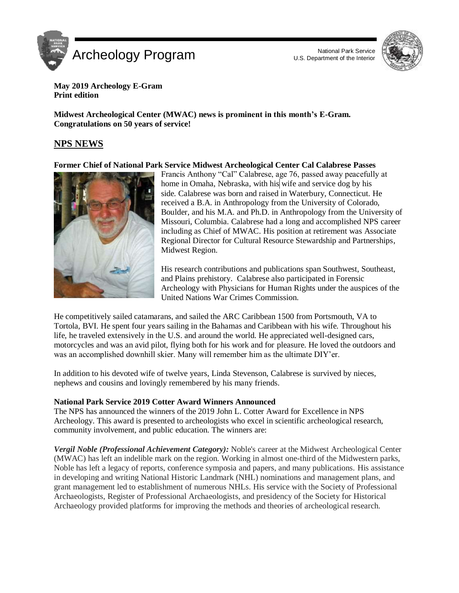



**May 2019 Archeology E-Gram Print edition** 

 **Midwest Archeological Center (MWAC) news is prominent in this month's E-Gram. Congratulations on 50 years of service!** 

# **NPS NEWS**

 **Former Chief of National Park Service Midwest Archeological Center Cal Calabrese Passes** 



 Francis Anthony "Cal" Calabrese, age 76, passed away peacefully at home in Omaha, Nebraska, with his wife and service dog by his side. Calabrese was born and raised in Waterbury, Connecticut. He received a B.A. in Anthropology from the University of Colorado, Boulder, and his M.A. and Ph.D. in Anthropology from the University of Missouri, Columbia. Calabrese had a long and accomplished NPS career including as Chief of MWAC. His position at retirement was Associate Regional Director for Cultural Resource Stewardship and Partnerships, Midwest Region.

 His research contributions and publications span Southwest, Southeast, and Plains prehistory. Calabrese also participated in Forensic Archeology with Physicians for Human Rights under the auspices of the United Nations War Crimes Commission.

 He competitively sailed catamarans, and sailed the ARC Caribbean 1500 from Portsmouth, VA to Tortola, BVI. He spent four years sailing in the Bahamas and Caribbean with his wife. Throughout his life, he traveled extensively in the U.S. and around the world. He appreciated well-designed cars, motorcycles and was an avid pilot, flying both for his work and for pleasure. He loved the outdoors and was an accomplished downhill skier. Many will remember him as the ultimate DIY'er.

 In addition to his devoted wife of twelve years, Linda Stevenson, Calabrese is survived by nieces, nephews and cousins and lovingly remembered by his many friends.

## **National Park Service 2019 Cotter Award Winners Announced**

 The NPS has announced the winners of the 2019 John L. Cotter Award for Excellence in NPS Archeology. This award is presented to archeologists who excel in scientific archeological research, community involvement, and public education. The winners are:

Vergil Noble (Professional Achievement Category): Noble's career at the Midwest Archeological Center (MWAC) has left an indelible mark on the region. Working in almost one-third of the Midwestern parks, Noble has left a legacy of reports, conference symposia and papers, and many publications. His assistance in developing and writing National Historic Landmark (NHL) nominations and management plans, and grant management led to establishment of numerous NHLs. His service with the Society of Professional Archaeologists, Register of Professional Archaeologists, and presidency of the Society for Historical Archaeology provided platforms for improving the methods and theories of archeological research.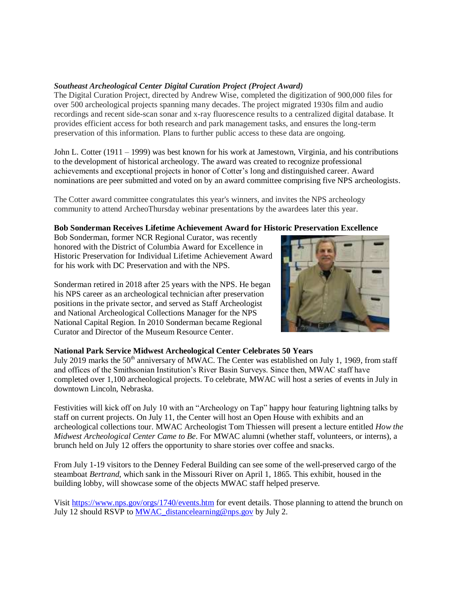## *Southeast Archeological Center Digital Curation Project (Project Award)*

 The Digital Curation Project, directed by Andrew Wise, completed the digitization of 900,000 files for over 500 archeological projects spanning many decades. The project migrated 1930s film and audio recordings and recent side-scan sonar and x-ray fluorescence results to a centralized digital database. It provides efficient access for both research and park management tasks, and ensures the long-term preservation of this information. Plans to further public access to these data are ongoing.

 John L. Cotter (1911 – 1999) was best known for his work at Jamestown, Virginia, and his contributions to the development of historical archeology. The award was created to recognize professional achievements and exceptional projects in honor of Cotter's long and distinguished career. Award nominations are peer submitted and voted on by an award committee comprising five NPS archeologists.

 The Cotter award committee congratulates this year's winners, and invites the NPS archeology community to attend ArcheoThursday webinar presentations by the awardees later this year.

## **Bob Sonderman Receives Lifetime Achievement Award for Historic Preservation Excellence**

 Bob Sonderman, former NCR Regional Curator, was recently honored with the District of Columbia Award for Excellence in Historic Preservation for Individual Lifetime Achievement Award for his work with DC Preservation and with the NPS.

 Sonderman retired in 2018 after 25 years with the NPS. He began his NPS career as an archeological technician after preservation positions in the private sector, and served as Staff Archeologist and National Archeological Collections Manager for the NPS National Capital Region. In 2010 Sonderman became Regional Curator and Director of the Museum Resource Center.



## **National Park Service Midwest Archeological Center Celebrates 50 Years**

July 2019 marks the 50<sup>th</sup> anniversary of MWAC. The Center was established on July 1, 1969, from staff and offices of the Smithsonian Institution's River Basin Surveys. Since then, MWAC staff have completed over 1,100 archeological projects. To celebrate, MWAC will host a series of events in July in downtown Lincoln, Nebraska.

 Festivities will kick off on July 10 with an "Archeology on Tap" happy hour featuring lightning talks by staff on current projects. On July 11, the Center will host an Open House with exhibits and an archeological collections tour. MWAC Archeologist Tom Thiessen will present a lecture entitled *How the Midwest Archeological Center Came to Be*. For MWAC alumni (whether staff, volunteers, or interns), a brunch held on July 12 offers the opportunity to share stories over coffee and snacks.

 From July 1-19 visitors to the Denney Federal Building can see some of the well-preserved cargo of the steamboat *Bertrand*, which sank in the Missouri River on April 1, 1865. This exhibit, housed in the building lobby, will showcase some of the objects MWAC staff helped preserve.

Visit<https://www.nps.gov/orgs/1740/events.htm>for event details. Those planning to attend the brunch on July 12 should RSVP to **MWAC** distancelearning@nps.gov by July 2.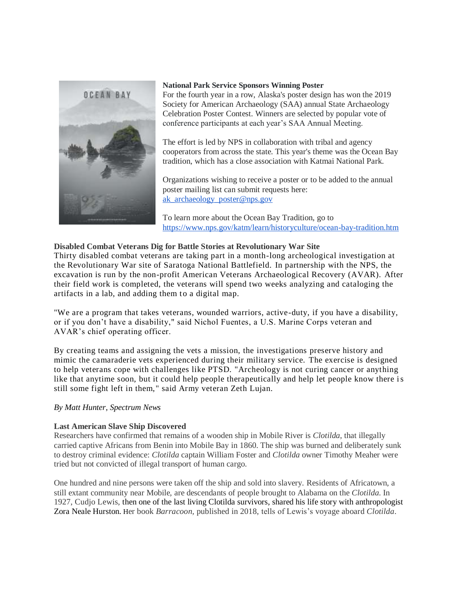

#### **National Park Service Sponsors Winning Poster**

 For the fourth year in a row, Alaska's poster design has won the 2019 Society for American Archaeology (SAA) annual State Archaeology Celebration Poster Contest. Winners are selected by popular vote of conference participants at each year's SAA Annual Meeting.

 The effort is led by NPS in collaboration with tribal and agency cooperators from across the state. This year's theme was the Ocean Bay tradition, which has a close association with Katmai National Park.

 Organizations wishing to receive a poster or to be added to the annual poster mailing list can submit requests here: [ak\\_archaeology\\_poster@nps.gov](mailto:ak_archaeology_poster@nps.gov) 

 To learn more about the Ocean Bay Tradition, go to <https://www.nps.gov/katm/learn/historyculture/ocean-bay-tradition.htm>

## **Disabled Combat Veterans Dig for Battle Stories at Revolutionary War Site**

 Thirty disabled combat veterans are taking part in a month-long archeological investigation at the Revolutionary War site of Saratoga National Battlefield. In partnership with the NPS, the excavation is run by the non-profit American Veterans Archaeological Recovery (AVAR). After their field work is completed, the veterans will spend two weeks analyzing and cataloging the artifacts in a lab, and adding them to a digital map.

 "We are a program that takes veterans, wounded warriors, active-duty, if you have a disability, or if you don't have a disability," said Nichol Fuentes, a U.S. Marine Corps veteran and AVAR's chief operating officer.

 By creating teams and assigning the vets a mission, the investigations preserve history and mimic the camaraderie vets experienced during their military service. The exercise is designed to help veterans cope with challenges like PTSD. "Archeology is not curing cancer or anything like that anytime soon, but it could help people therapeutically and help let people know there is still some fight left in them," said Army veteran Zeth Lujan.

## *By Matt Hunter, Spectrum News*

## **Last American Slave Ship Discovered**

 Researchers have confirmed that remains of a wooden ship in Mobile River is *Clotilda*, that illegally carried captive Africans from Benin into Mobile Bay in 1860. The ship was burned and deliberately sunk to destroy criminal evidence: *Clotilda* captain William Foster and *Clotilda* owner Timothy Meaher were tried but not convicted of illegal transport of human cargo.

 One hundred and nine persons were taken off the ship and sold into slavery. Residents of Africatown, a still extant community near Mobile, are descendants of people brought to Alabama on the *Clotilda*. In 1927, Cudjo Lewis, then one of the last living Clotilda survivors, shared his life story with anthropologist Zora Neale Hurston. Her book *Barracoon,* published in 2018, tells of Lewis's voyage aboard *Clotilda*.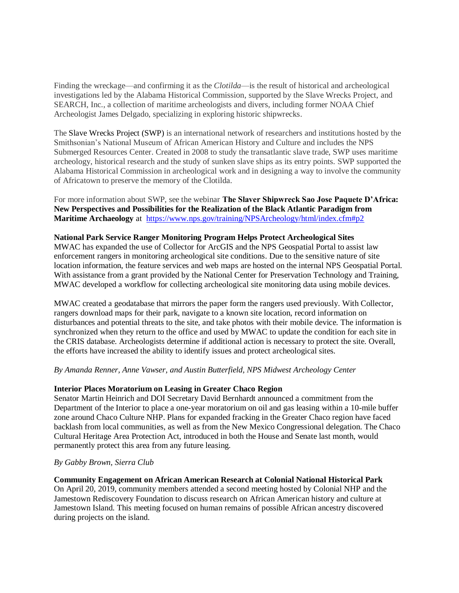Finding the wreckage—and confirming it as the *Clotilda*—is the result of historical and archeological investigations led by the Alabama Historical Commission, supported by the Slave Wrecks Project, and SEARCH, Inc., a collection of maritime archeologists and divers, including former NOAA Chief Archeologist James Delgado, specializing in exploring historic shipwrecks.

 The Slave Wrecks Project (SWP) is an international network of researchers and institutions hosted by the Smithsonian's National Museum of African American History and Culture and includes the NPS Submerged Resources Center. Created in 2008 to study the transatlantic slave trade, SWP uses maritime archeology, historical research and the study of sunken slave ships as its entry points. SWP supported the Alabama Historical Commission in archeological work and in designing a way to involve the community of Africatown to preserve the memory of the Clotilda.

 For more information about SWP, see the webinar **The Slaver Shipwreck Sao Jose Paquete D'Africa: New Perspectives and Possibilities for the Realization of the Black Atlantic Paradigm from Maritime Archaeology** at <https://www.nps.gov/training/NPSArcheology/html/index.cfm#p2>

#### **National Park Service Ranger Monitoring Program Helps Protect Archeological Sites**

 MWAC has expanded the use of Collector for ArcGIS and the NPS Geospatial Portal to assist law enforcement rangers in monitoring archeological site conditions. Due to the sensitive nature of site location information, the feature services and web maps are hosted on the internal NPS Geospatial Portal. With assistance from a grant provided by the National Center for Preservation Technology and Training, MWAC developed a workflow for collecting archeological site monitoring data using mobile devices.

 MWAC created a geodatabase that mirrors the paper form the rangers used previously. With Collector, rangers download maps for their park, navigate to a known site location, record information on disturbances and potential threats to the site, and take photos with their mobile device. The information is synchronized when they return to the office and used by MWAC to update the condition for each site in the CRIS database. Archeologists determine if additional action is necessary to protect the site. Overall, the efforts have increased the ability to identify issues and protect archeological sites.

 *By Amanda Renner, Anne Vawser, and Austin Butterfield, NPS Midwest Archeology Center* 

## **Interior Places Moratorium on Leasing in Greater Chaco Region**

 Senator Martin Heinrich and DOI Secretary David Bernhardt announced a commitment from the Department of the Interior to place a one-year moratorium on oil and gas leasing within a 10-mile buffer zone around Chaco Culture NHP. Plans for expanded fracking in the Greater Chaco region have faced backlash from local communities, as well as from the New Mexico Congressional delegation. The Chaco Cultural Heritage Area Protection Act, introduced in both the House and Senate last month, would permanently protect this area from any future leasing.

#### *By Gabby Brown, Sierra Club*

 **Community Engagement on African American Research at Colonial National Historical Park** 

 On April 20, 2019, community members attended a second meeting hosted by Colonial NHP and the Jamestown Rediscovery Foundation to discuss research on African American history and culture at Jamestown Island. This meeting focused on human remains of possible African ancestry discovered during projects on the island.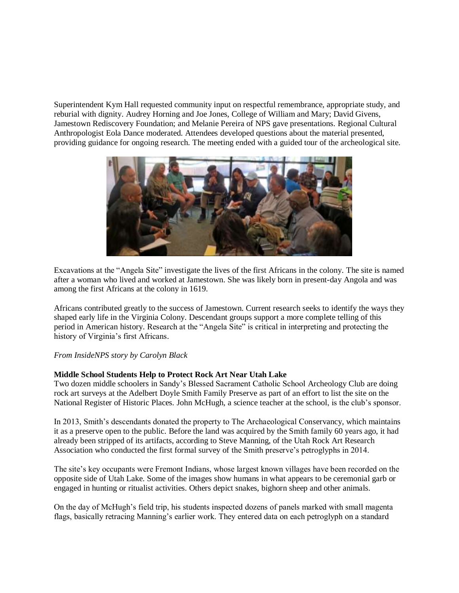Superintendent Kym Hall requested community input on respectful remembrance, appropriate study, and reburial with dignity. Audrey Horning and Joe Jones, College of William and Mary; David Givens, Jamestown Rediscovery Foundation; and Melanie Pereira of NPS gave presentations. Regional Cultural Anthropologist Eola Dance moderated. Attendees developed questions about the material presented, providing guidance for ongoing research. The meeting ended with a guided tour of the archeological site.



 Excavations at the "Angela Site" investigate the lives of the first Africans in the colony. The site is named after a woman who lived and worked at Jamestown. She was likely born in present-day Angola and was among the first Africans at the colony in 1619.

 Africans contributed greatly to the success of Jamestown. Current research seeks to identify the ways they shaped early life in the Virginia Colony. Descendant groups support a more complete telling of this period in American history. Research at the "Angela Site" is critical in interpreting and protecting the history of Virginia's first Africans.

## *From InsideNPS story by Carolyn Black*

## **Middle School Students Help to Protect Rock Art Near Utah Lake**

 Two dozen middle schoolers in Sandy's Blessed Sacrament Catholic School Archeology Club are doing rock art surveys at the Adelbert Doyle Smith Family Preserve as part of an effort to list the site on the National Register of Historic Places. John McHugh, a science teacher at the school, is the club's sponsor.

 In 2013, Smith's descendants donated the property to The Archaeological Conservancy, which maintains it as a preserve open to the public. Before the land was acquired by the Smith family 60 years ago, it had already been stripped of its artifacts, according to Steve Manning, of the Utah Rock Art Research Association who conducted the first formal survey of the Smith preserve's petroglyphs in 2014.

 The site's key occupants were Fremont Indians, whose largest known villages have been recorded on the opposite side of Utah Lake. Some of the images show humans in what appears to be ceremonial garb or engaged in hunting or ritualist activities. Others depict snakes, bighorn sheep and other animals.

 On the day of McHugh's field trip, his students inspected dozens of panels marked with small magenta flags, basically retracing Manning's earlier work. They entered data on each petroglyph on a standard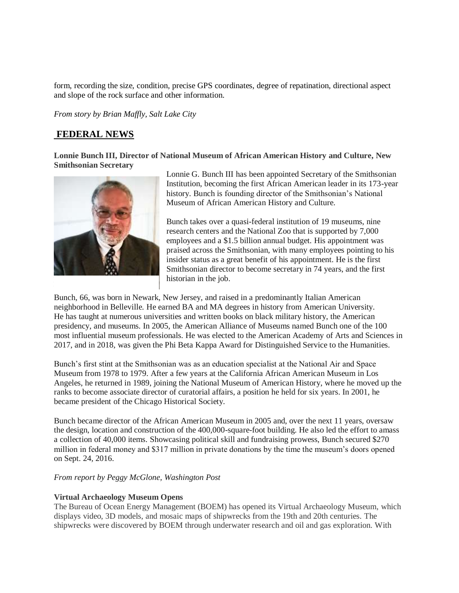form, recording the size, condition, precise GPS coordinates, degree of repatination, directional aspect and slope of the rock surface and other information.

 *From story by Brian Maffly, Salt Lake City* 

## **FEDERAL NEWS**

 **Lonnie Bunch III, Director of National Museum of African American History and Culture, New Smithsonian Secretary** 



**Paper)** 

 Lonnie G. Bunch III has been appointed Secretary of the Smithsonian Institution, becoming the first African American leader in its 173-year history. Bunch is founding director of the Smithsonian's National Museum of African American History and Culture.

 Bunch takes over a quasi-federal institution of 19 museums, nine research centers and the National Zoo that is supported by 7,000 employees and a \$1.5 billion annual budget. His appointment was praised across the Smithsonian, with many employees pointing to his insider status as a great benefit of his appointment. He is the first Smithsonian director to become secretary in 74 years, and the first historian in the job.

 Bunch, 66, was born in Newark, New Jersey, and raised in a predominantly Italian American neighborhood in Belleville. He earned BA and MA degrees in history from American University. He has taught at numerous universities and written books on black military history, the American presidency, and museums. In 2005, the American Alliance of Museums named Bunch one of the 100 most influential museum professionals. He was elected to the American Academy of Arts and Sciences in 2017, and in 2018, was given the Phi Beta Kappa Award for Distinguished Service to the Humanities.

 Bunch's first stint at the Smithsonian was as an education specialist at the National Air and Space Museum from 1978 to 1979. After a few years at the California African American Museum in Los Angeles, he returned in 1989, joining the National Museum of American History, where he moved up the ranks to become associate director of curatorial affairs, a position he held for six years. In 2001, he became president of the Chicago Historical Society.

 Bunch became director of the African American Museum in 2005 and, over the next 11 years, oversaw the design, location and construction of the 400,000-square-foot building. He also led the effort to amass a collection of 40,000 items. Showcasing political skill and fundraising prowess, Bunch secured \$270 million in federal money and \$317 million in private donations by the time the museum's doors opened on Sept. 24, 2016.

 *From report by Peggy McGlone, Washington Post* 

#### **Virtual Archaeology Museum Opens**

 The Bureau of Ocean Energy Management (BOEM) has opened its Virtual Archaeology Museum, which displays video, 3D models, and mosaic maps of shipwrecks from the 19th and 20th centuries. The shipwrecks were discovered by BOEM through underwater research and oil and gas exploration. With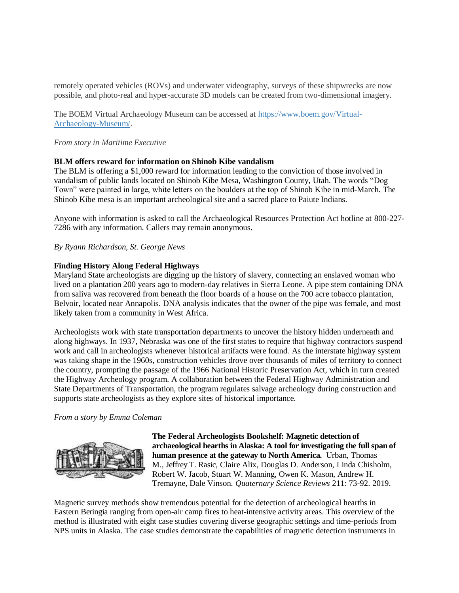remotely operated vehicles (ROVs) and underwater videography, surveys of these shipwrecks are now possible, and photo-real and hyper-accurate 3D models can be created from two-dimensional imagery.

The BOEM Virtual Archaeology Museum can be accessed at [https://www.boem.gov/Virtual-](https://www.boem.gov/Virtual-Archaeology-Museum/)[Archaeology-Museum/.](https://www.boem.gov/Virtual-Archaeology-Museum/)

#### *From story in Maritime Executive*

#### **BLM offers reward for information on Shinob Kibe vandalism**

 The BLM is offering a \$1,000 reward for information leading to the conviction of those involved in vandalism of public lands located on Shinob Kibe Mesa, Washington County, Utah. The words "Dog Town" were painted in large, white letters on the boulders at the top of Shinob Kibe in mid-March. The Shinob Kibe mesa is an important archeological site and a sacred place to Paiute Indians.

 Anyone with information is asked to call the Archaeological Resources Protection Act hotline at 800-227- 7286 with any information. Callers may remain anonymous.

 *By Ryann Richardson, St. George News* 

#### **Finding History Along Federal Highways**

 Maryland State archeologists are digging up the history of slavery, connecting an enslaved woman who lived on a plantation 200 years ago to modern-day relatives in Sierra Leone. A pipe stem containing DNA from saliva was recovered from beneath the floor boards of a house on the 700 acre tobacco plantation, Belvoir, located near Annapolis. DNA analysis indicates that the owner of the pipe was female, and most likely taken from a community in West Africa.

 Archeologists work with state transportation departments to uncover the history hidden underneath and along highways. In 1937, Nebraska was one of the first states to require that highway contractors suspend work and call in archeologists whenever historical artifacts were found. As the interstate highway system was taking shape in the 1960s, construction vehicles drove over thousands of miles of territory to connect the country, prompting the passage of the 1966 National Historic Preservation Act, which in turn created the Highway Archeology program. A collaboration between the Federal Highway Administration and State Departments of Transportation, the program regulates salvage archeology during construction and supports state archeologists as they explore sites of historical importance.

#### *From a story by Emma Coleman*



 **The Federal Archeologists Bookshelf: Magnetic detection of archaeological hearths in Alaska: A tool for investigating the full span of human presence at the gateway to North America.** Urban, Thomas M., Jeffrey T. Rasic, Claire Alix, Douglas D. Anderson, Linda Chisholm, Robert W. Jacob, Stuart W. Manning, Owen K. Mason, Andrew H. Tremayne, Dale Vinson. *Quaternary Science Reviews* 211: 73-92. 2019.

 Magnetic survey methods show tremendous potential for the detection of archeological hearths in Eastern Beringia ranging from open-air camp fires to heat-intensive activity areas. This overview of the method is illustrated with eight case studies covering diverse geographic settings and time-periods from NPS units in Alaska. The case studies demonstrate the capabilities of magnetic detection instruments in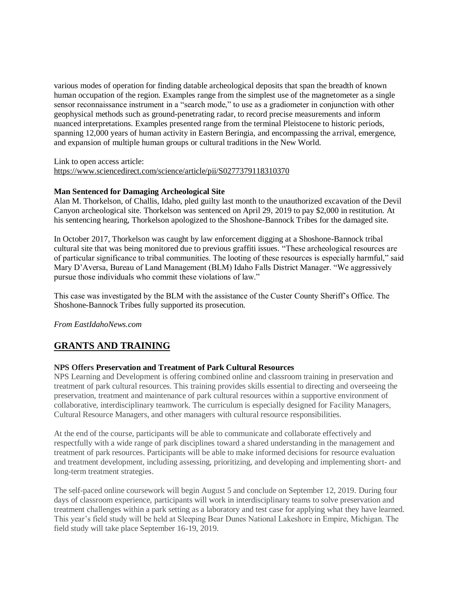various modes of operation for finding datable archeological deposits that span the breadth of known human occupation of the region. Examples range from the simplest use of the magnetometer as a single sensor reconnaissance instrument in a "search mode," to use as a gradiometer in conjunction with other geophysical methods such as ground-penetrating radar, to record precise measurements and inform nuanced interpretations. Examples presented range from the terminal Pleistocene to historic periods, spanning 12,000 years of human activity in Eastern Beringia, and encompassing the arrival, emergence, and expansion of multiple human groups or cultural traditions in the New World.

 Link to open access article: <https://www.sciencedirect.com/science/article/pii/S0277379118310370>

## **Man Sentenced for Damaging Archeological Site**

 Alan M. Thorkelson, of Challis, Idaho, pled guilty last month to the unauthorized excavation of the Devil Canyon archeological site. Thorkelson was sentenced on April 29, 2019 to pay \$2,000 in restitution. At his sentencing hearing, Thorkelson apologized to the Shoshone-Bannock Tribes for the damaged site.

 In October 2017, Thorkelson was caught by law enforcement digging at a Shoshone-Bannock tribal cultural site that was being monitored due to previous graffiti issues. "These archeological resources are of particular significance to tribal communities. The looting of these resources is especially harmful," said Mary D'Aversa, Bureau of Land Management (BLM) Idaho Falls District Manager. "We aggressively pursue those individuals who commit these violations of law."

 This case was investigated by the BLM with the assistance of the Custer County Sheriff's Office. The Shoshone-Bannock Tribes fully supported its prosecution.

*From [EastIdahoNews.com](https://EastIdahoNews.com)* 

# **GRANTS AND TRAINING**

## **NPS Offers Preservation and Treatment of Park Cultural Resources**

 NPS Learning and Development is offering combined online and classroom training in preservation and treatment of park cultural resources. This training provides skills essential to directing and overseeing the preservation, treatment and maintenance of park cultural resources within a supportive environment of collaborative, interdisciplinary teamwork. The curriculum is especially designed for Facility Managers, Cultural Resource Managers, and other managers with cultural resource responsibilities.

 At the end of the course, participants will be able to communicate and collaborate effectively and respectfully with a wide range of park disciplines toward a shared understanding in the management and treatment of park resources. Participants will be able to make informed decisions for resource evaluation and treatment development, including assessing, prioritizing, and developing and implementing short- and long-term treatment strategies.

 The self-paced online coursework will begin August 5 and conclude on September 12, 2019. During four days of classroom experience, participants will work in interdisciplinary teams to solve preservation and treatment challenges within a park setting as a laboratory and test case for applying what they have learned. This year's field study will be held at Sleeping Bear Dunes National Lakeshore in Empire, Michigan. The field study will take place September 16-19, 2019.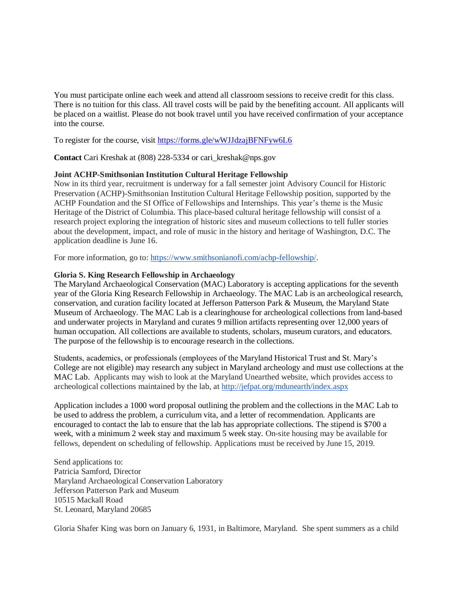You must participate online each week and attend all classroom sessions to receive credit for this class. There is no tuition for this class. All travel costs will be paid by the benefiting account. All applicants will be placed on a waitlist. Please do not book travel until you have received confirmation of your acceptance into the course.

To register for the course, visit https://forms.gle/wWJJdzajBFNFyw6L6

**Contact** Cari Kreshak at (808) 228-5334 or [cari\\_kreshak@nps.gov](mailto:cari_kreshak@nps.gov) 

## **Joint ACHP-Smithsonian Institution Cultural Heritage Fellowship**

 Now in its third year, recruitment is underway for a fall semester joint Advisory Council for Historic Preservation (ACHP)-Smithsonian Institution Cultural Heritage Fellowship position, supported by the ACHP Foundation and the SI Office of Fellowships and Internships. This year's theme is the Music Heritage of the District of Columbia. This place-based cultural heritage fellowship will consist of a research project exploring the integration of historic sites and museum collections to tell fuller stories about the development, impact, and role of music in the history and heritage of Washington, D.C. The application deadline is June 16.

For more information, go to: [https://www.smithsonianofi.com/achp-fellowship/.](https://www.smithsonianofi.com/achp-fellowship/)

#### **Gloria S. King Research Fellowship in Archaeology**

 The Maryland Archaeological Conservation (MAC) Laboratory is accepting applications for the seventh year of the Gloria King Research Fellowship in Archaeology. The MAC Lab is an archeological research, conservation, and curation facility located at Jefferson Patterson Park & Museum, the Maryland State Museum of Archaeology. The MAC Lab is a clearinghouse for archeological collections from land-based and underwater projects in Maryland and curates 9 million artifacts representing over 12,000 years of human occupation. All collections are available to students, scholars, museum curators, and educators. The purpose of the fellowship is to encourage research in the collections.

 Students, academics, or professionals (employees of the Maryland Historical Trust and St. Mary's College are not eligible) may research any subject in Maryland archeology and must use collections at the MAC Lab. Applicants may wish to look at the Maryland Unearthed website, which provides access to archeological collections maintained by the lab, at http://jefpat.org/mdunearth/index.aspx

 Application includes a 1000 word proposal outlining the problem and the collections in the MAC Lab to be used to address the problem, a curriculum vita, and a letter of recommendation. Applicants are encouraged to contact the lab to ensure that the lab has appropriate collections. The stipend is \$700 a week, with a minimum 2 week stay and maximum 5 week stay. On-site housing may be available for fellows, dependent on scheduling of fellowship. Applications must be received by June 15, 2019.

 Patricia Samford, Director Jefferson Patterson Park and Museum St. Leonard, Maryland 20685 Send applications to: Maryland Archaeological Conservation Laboratory 10515 Mackall Road

Gloria Shafer King was born on January 6, 1931, in Baltimore, Maryland. She spent summers as a child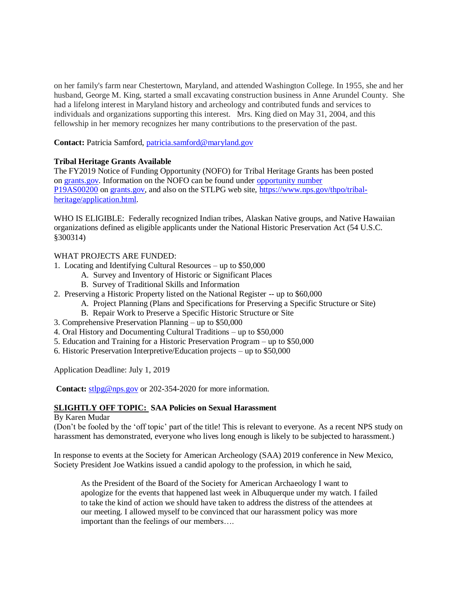on her family's farm near Chestertown, Maryland, and attended Washington College. In 1955, she and her husband, George M. King, started a small excavating construction business in Anne Arundel County. She had a lifelong interest in Maryland history and archeology and contributed funds and services to individuals and organizations supporting this interest. Mrs. King died on May 31, 2004, and this fellowship in her memory recognizes her many contributions to the preservation of the past.

Contact: Patricia Samford, patricia.samford@maryland.gov

## **Tribal Heritage Grants Available**

 The FY2019 Notice of Funding Opportunity (NOFO) for Tribal Heritage Grants has been posted on [grants.gov.](http://grants.gov/) Information on the NOFO can be found under opportunity number [P19AS00200](https://www.grants.gov/web/grants/view-opportunity.html?oppId=316419) on [grants.gov,](http://grants.gov/) and also on the STLPG web site, [https://www.nps.gov/thpo/tribal](https://www.nps.gov/thpo/tribal-heritage/application.html)[heritage/application.html.](https://www.nps.gov/thpo/tribal-heritage/application.html) 

 WHO IS ELIGIBLE: Federally recognized Indian tribes, Alaskan Native groups, and Native Hawaiian organizations defined as eligible applicants under the National Historic Preservation Act (54 U.S.C. §300314)

## WHAT PROJECTS ARE FUNDED:

- 1. Locating and Identifying Cultural Resources up to \$50,000
	- A. Survey and Inventory of Historic or Significant Places
	- B. Survey of Traditional Skills and Information
- 2. Preserving a Historic Property listed on the National Register -- up to \$60,000
	- A. Project Planning (Plans and Specifications for Preserving a Specific Structure or Site)
	- B. Repair Work to Preserve a Specific Historic Structure or Site
- 3. Comprehensive Preservation Planning up to \$50,000
- 4. Oral History and Documenting Cultural Traditions up to \$50,000
- 5. Education and Training for a Historic Preservation Program up to \$50,000
- 6. Historic Preservation Interpretive/Education projects up to \$50,000

Application Deadline: July 1, 2019

Contact: [stlpg@nps.gov](mailto:stlpg@nps.gov) or 202-354-2020 for more information.

## **SLIGHTLY OFF TOPIC: SAA Policies on Sexual Harassment**

## By Karen Mudar

 (Don't be fooled by the 'off topic' part of the title! This is relevant to everyone. As a recent NPS study on harassment has demonstrated, everyone who lives long enough is likely to be subjected to harassment.)

 In response to events at the Society for American Archeology (SAA) 2019 conference in New Mexico, Society President Joe Watkins issued a candid apology to the profession, in which he said,

 As the President of the Board of the Society for American Archaeology I want to apologize for the events that happened last week in Albuquerque under my watch. I failed to take the kind of action we should have taken to address the distress of the attendees at our meeting. I allowed myself to be convinced that our harassment policy was more important than the feelings of our members….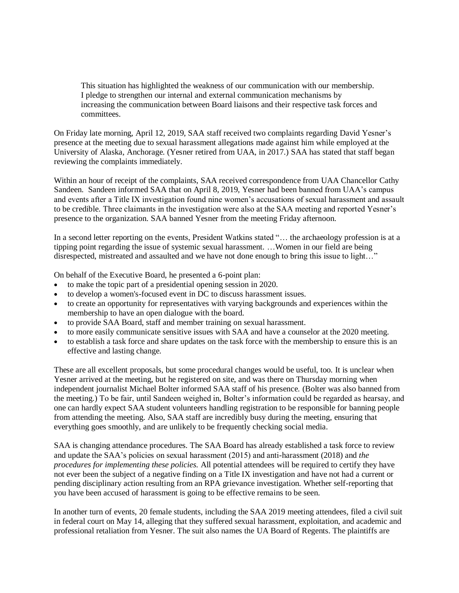This situation has highlighted the weakness of our communication with our membership. I pledge to strengthen our internal and external communication mechanisms by increasing the communication between Board liaisons and their respective task forces and committees.

 On Friday late morning, April 12, 2019, SAA staff received two complaints regarding David Yesner's presence at the meeting due to sexual harassment allegations made against him while employed at the University of Alaska, Anchorage. (Yesner retired from UAA, in 2017.) SAA has stated that staff began reviewing the complaints immediately.

 Within an hour of receipt of the complaints, SAA received correspondence from UAA Chancellor Cathy Sandeen. Sandeen informed SAA that on April 8, 2019, Yesner had been banned from UAA's campus and events after a Title IX investigation found nine women's accusations of sexual harassment and assault to be credible. Three claimants in the investigation were also at the SAA meeting and reported Yesner's presence to the organization. SAA banned Yesner from the meeting Friday afternoon.

 In a second letter reporting on the events, President Watkins stated "… the archaeology profession is at a tipping point regarding the issue of systemic sexual harassment. …Women in our field are being disrespected, mistreated and assaulted and we have not done enough to bring this issue to light…"

On behalf of the Executive Board, he presented a 6-point plan:

- to make the topic part of a presidential opening session in 2020.
- to develop a women's-focused event in DC to discuss harassment issues.
- to create an opportunity for representatives with varying backgrounds and experiences within the membership to have an open dialogue with the board.
- to provide SAA Board, staff and member training on sexual harassment.
- to more easily communicate sensitive issues with SAA and have a counselor at the 2020 meeting.
- to establish a task force and share updates on the task force with the membership to ensure this is an effective and lasting change.

 These are all excellent proposals, but some procedural changes would be useful, too. It is unclear when Yesner arrived at the meeting, but he registered on site, and was there on Thursday morning when independent journalist Michael Bolter informed SAA staff of his presence. (Bolter was also banned from the meeting.) To be fair, until Sandeen weighed in, Bolter's information could be regarded as hearsay, and one can hardly expect SAA student volunteers handling registration to be responsible for banning people from attending the meeting. Also, SAA staff are incredibly busy during the meeting, ensuring that everything goes smoothly, and are unlikely to be frequently checking social media.

 SAA is changing attendance procedures. The SAA Board has already established a task force to review and update the SAA's policies on sexual harassment (2015) and anti-harassment (2018) and *the procedures for implementing these policies.* All potential attendees will be required to certify they have not ever been the subject of a negative finding on a Title IX investigation and have not had a current or pending disciplinary action resulting from an RPA grievance investigation. Whether self-reporting that you have been accused of harassment is going to be effective remains to be seen.

 In another turn of events, 20 female students, including the SAA 2019 meeting attendees, filed a civil suit in federal court on May 14, alleging that they suffered sexual harassment, exploitation, and academic and professional retaliation from Yesner. The suit also names the UA Board of Regents. The plaintiffs are